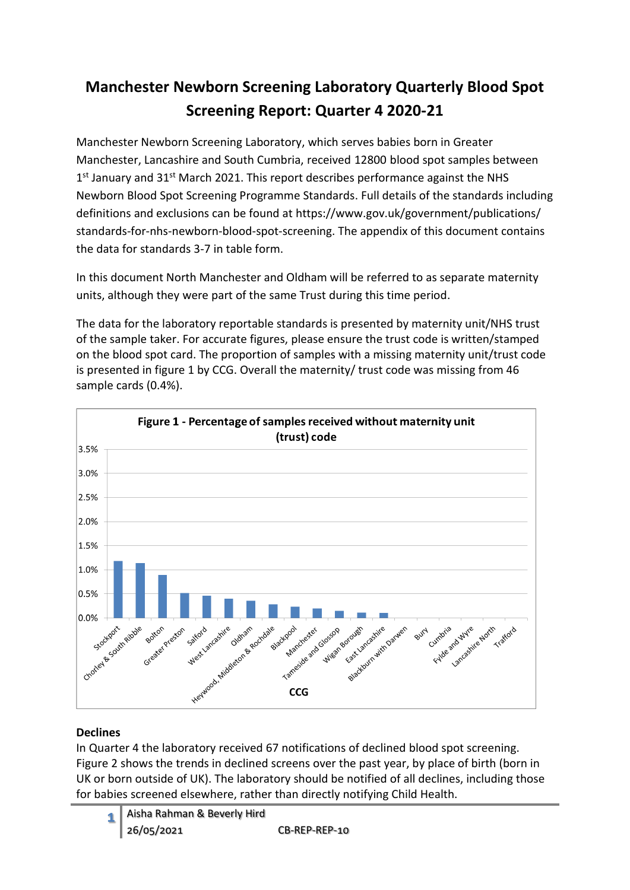# **Manchester Newborn Screening Laboratory Quarterly Blood Spot Screening Report: Quarter 4 2020-21**

Manchester Newborn Screening Laboratory, which serves babies born in Greater Manchester, Lancashire and South Cumbria, received 12800 blood spot samples between 1<sup>st</sup> January and 31<sup>st</sup> March 2021. This report describes performance against the NHS Newborn Blood Spot Screening Programme Standards. Full details of the standards including definitions and exclusions can be found at https://www.gov.uk/government/publications/ standards-for-nhs-newborn-blood-spot-screening. The appendix of this document contains the data for standards 3-7 in table form.

In this document North Manchester and Oldham will be referred to as separate maternity units, although they were part of the same Trust during this time period.

The data for the laboratory reportable standards is presented by maternity unit/NHS trust of the sample taker. For accurate figures, please ensure the trust code is written/stamped on the blood spot card. The proportion of samples with a missing maternity unit/trust code is presented in figure 1 by CCG. Overall the maternity/ trust code was missing from 46 sample cards (0.4%).



# **Declines**

In Quarter 4 the laboratory received 67 notifications of declined blood spot screening. Figure 2 shows the trends in declined screens over the past year, by place of birth (born in UK or born outside of UK). The laboratory should be notified of all declines, including those for babies screened elsewhere, rather than directly notifying Child Health.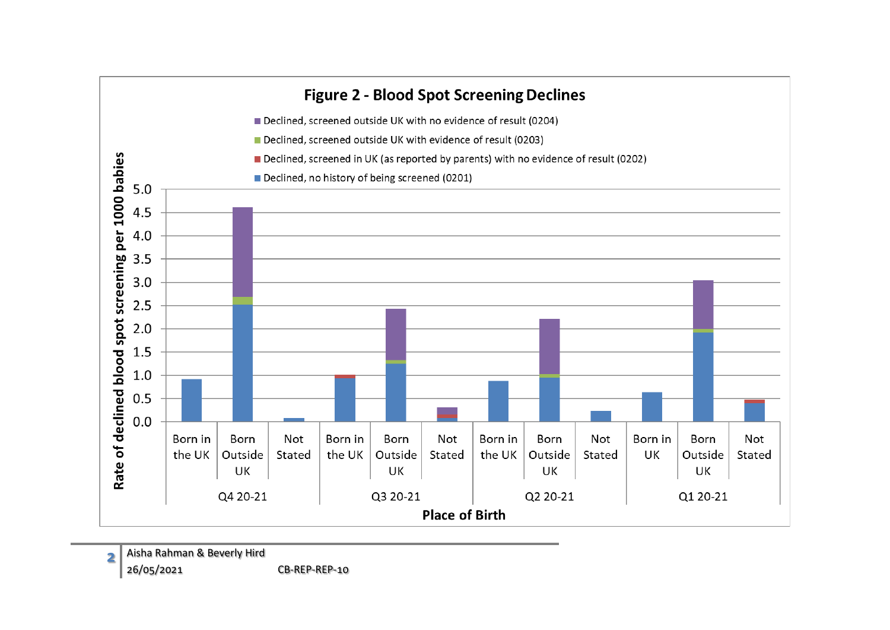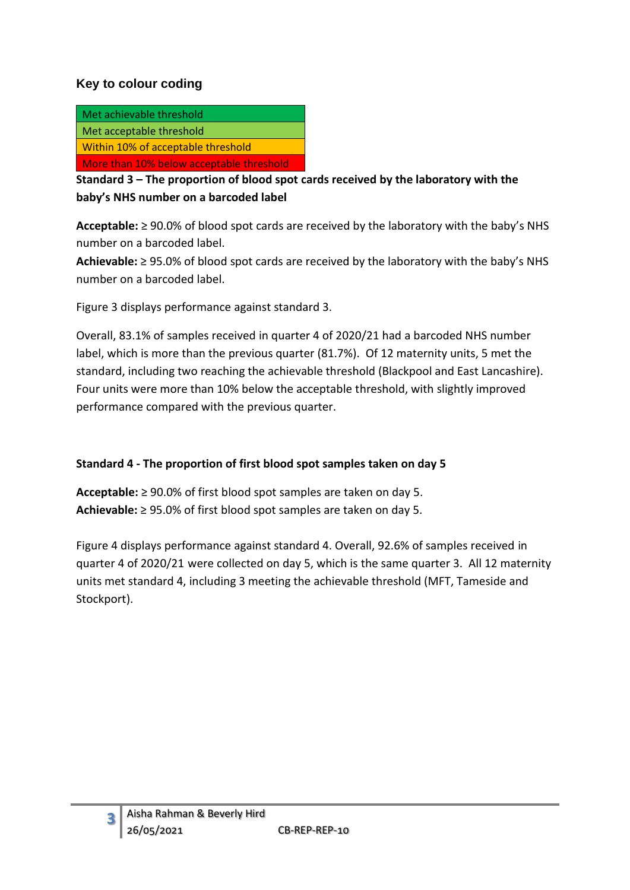# **Key to colour coding**

| Met achievable threshold                 |
|------------------------------------------|
| Met acceptable threshold                 |
| Within 10% of acceptable threshold       |
| More than 10% below acceptable threshold |

**Standard 3 – The proportion of blood spot cards received by the laboratory with the baby's NHS number on a barcoded label**

**Acceptable:** ≥ 90.0% of blood spot cards are received by the laboratory with the baby's NHS number on a barcoded label.

**Achievable:** ≥ 95.0% of blood spot cards are received by the laboratory with the baby's NHS number on a barcoded label.

Figure 3 displays performance against standard 3.

Overall, 83.1% of samples received in quarter 4 of 2020/21 had a barcoded NHS number label, which is more than the previous quarter (81.7%). Of 12 maternity units, 5 met the standard, including two reaching the achievable threshold (Blackpool and East Lancashire). Four units were more than 10% below the acceptable threshold, with slightly improved performance compared with the previous quarter.

#### **Standard 4 - The proportion of first blood spot samples taken on day 5**

**Acceptable:** ≥ 90.0% of first blood spot samples are taken on day 5. **Achievable:** ≥ 95.0% of first blood spot samples are taken on day 5.

Figure 4 displays performance against standard 4. Overall, 92.6% of samples received in quarter 4 of 2020/21 were collected on day 5, which is the same quarter 3. All 12 maternity units met standard 4, including 3 meeting the achievable threshold (MFT, Tameside and Stockport).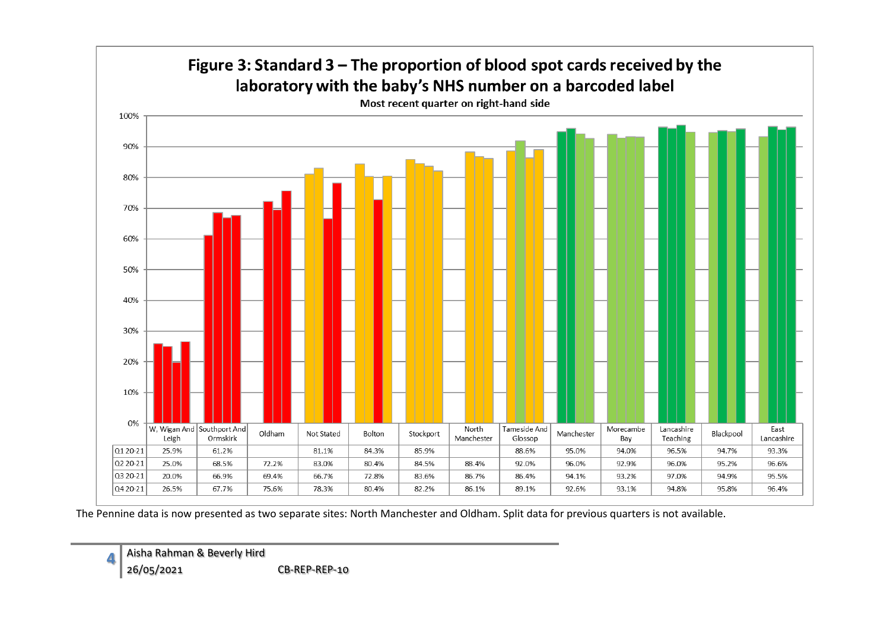

The Pennine data is now presented as two separate sites: North Manchester and Oldham. Split data for previous quarters is not available.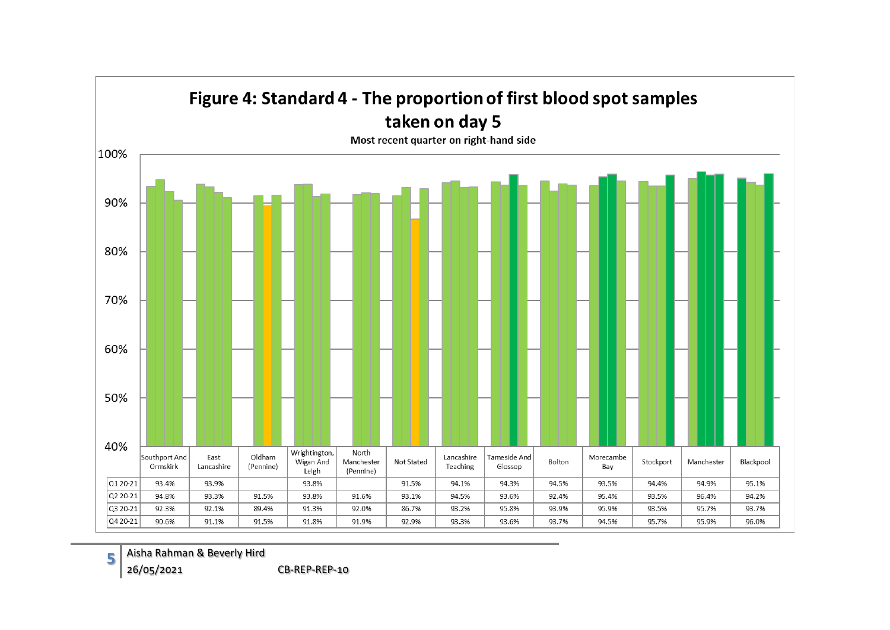

**5** Aisha Rahman & Beverly Hird

26/05/2021 CB-REP-REP-10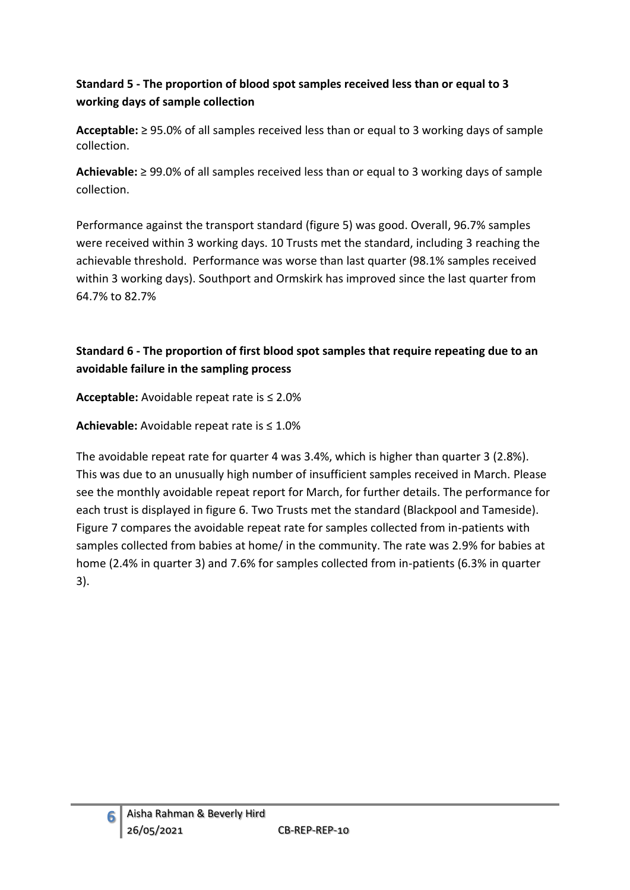# **Standard 5 - The proportion of blood spot samples received less than or equal to 3 working days of sample collection**

**Acceptable:** ≥ 95.0% of all samples received less than or equal to 3 working days of sample collection.

**Achievable:** ≥ 99.0% of all samples received less than or equal to 3 working days of sample collection.

Performance against the transport standard (figure 5) was good. Overall, 96.7% samples were received within 3 working days. 10 Trusts met the standard, including 3 reaching the achievable threshold. Performance was worse than last quarter (98.1% samples received within 3 working days). Southport and Ormskirk has improved since the last quarter from 64.7% to 82.7%

# **Standard 6 - The proportion of first blood spot samples that require repeating due to an avoidable failure in the sampling process**

**Acceptable:** Avoidable repeat rate is ≤ 2.0%

**Achievable:** Avoidable repeat rate is ≤ 1.0%

The avoidable repeat rate for quarter 4 was 3.4%, which is higher than quarter 3 (2.8%). This was due to an unusually high number of insufficient samples received in March. Please see the monthly avoidable repeat report for March, for further details. The performance for each trust is displayed in figure 6. Two Trusts met the standard (Blackpool and Tameside). Figure 7 compares the avoidable repeat rate for samples collected from in-patients with samples collected from babies at home/ in the community. The rate was 2.9% for babies at home (2.4% in quarter 3) and 7.6% for samples collected from in-patients (6.3% in quarter 3).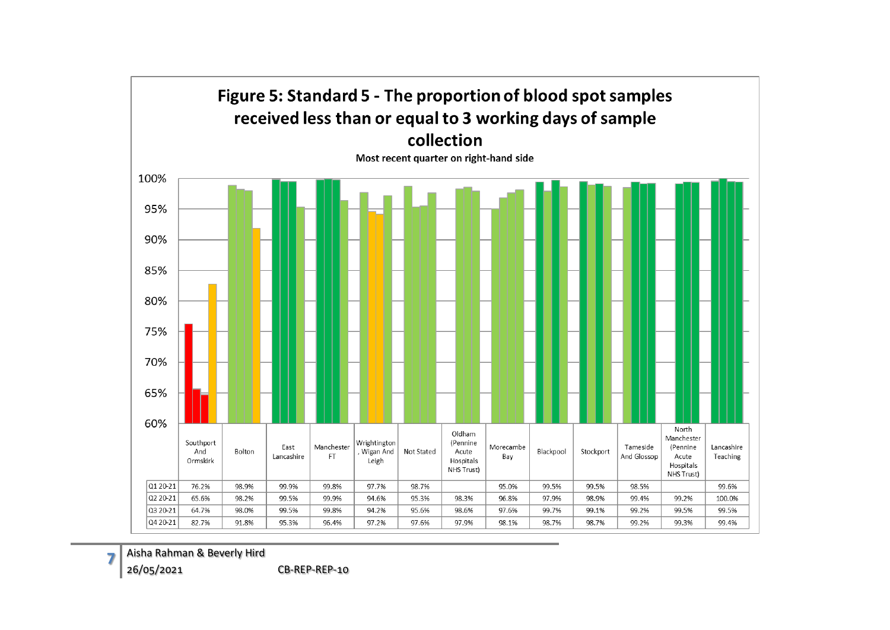

Aisha Rahman & Beverly Hird

26/05/2021 CB-REP-REP-10

**7**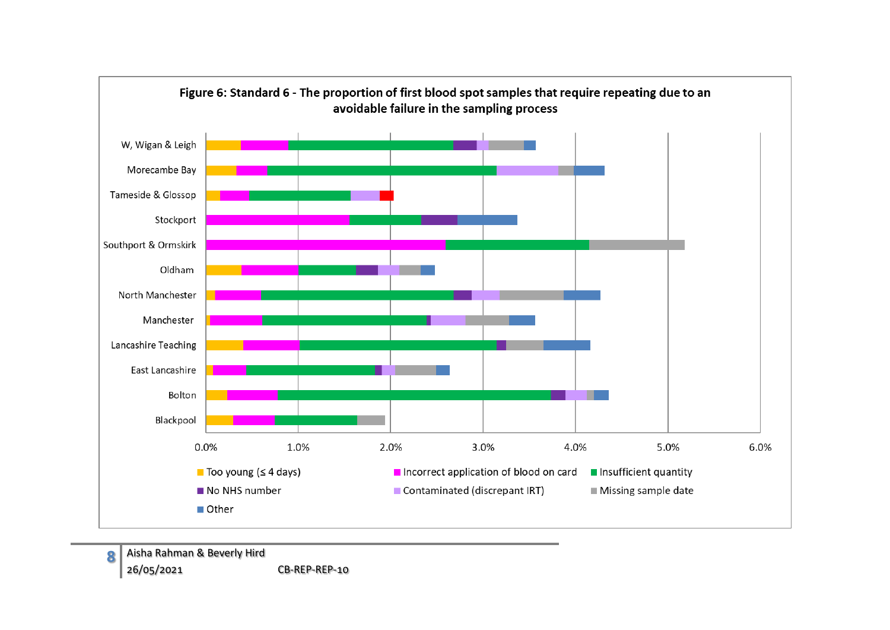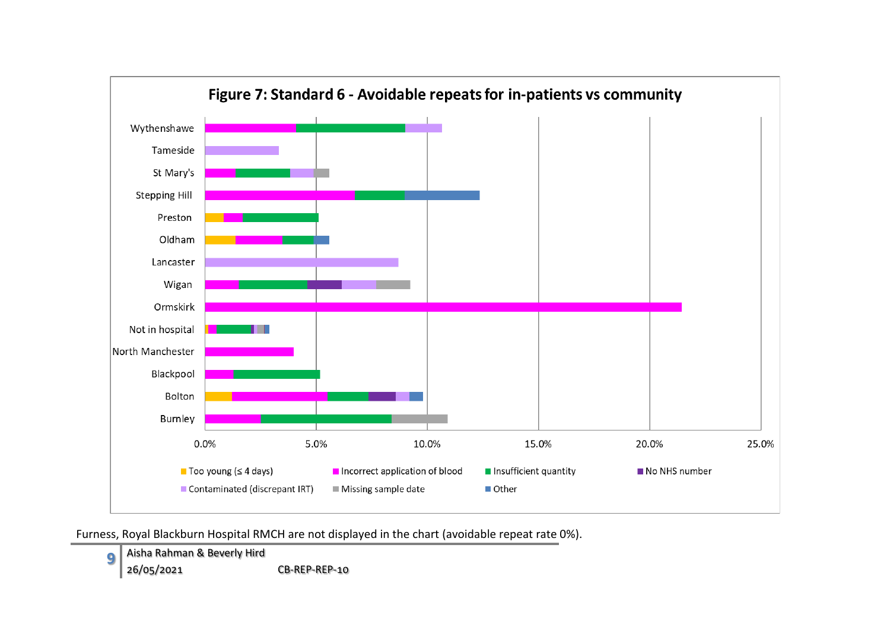

Furness, Royal Blackburn Hospital RMCH are not displayed in the chart (avoidable repeat rate 0%).

**9** Aisha Rahman & Beverly Hird 26/05/2021 CB-REP-REP-10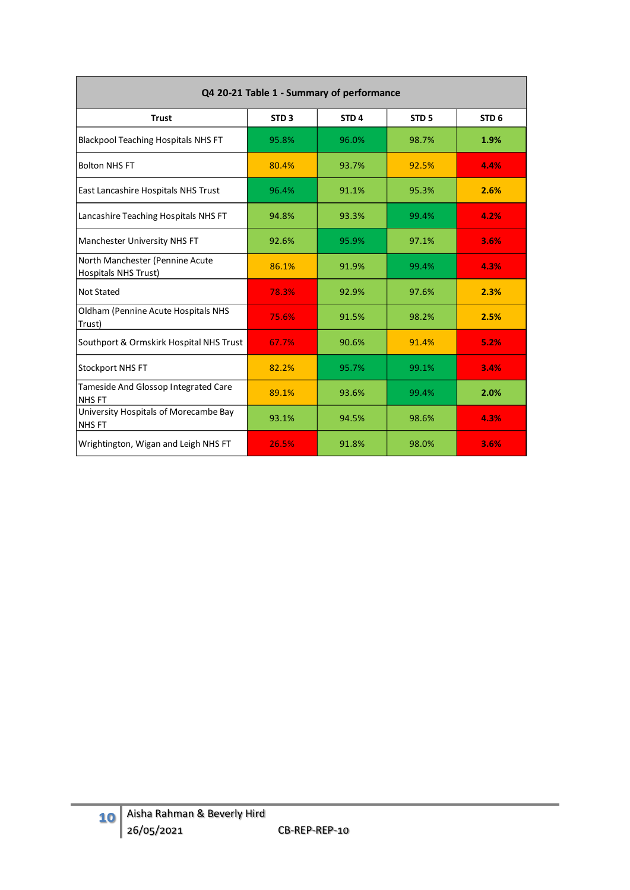| Q4 20-21 Table 1 - Summary of performance                      |                  |                  |                  |                  |  |  |  |  |  |  |  |
|----------------------------------------------------------------|------------------|------------------|------------------|------------------|--|--|--|--|--|--|--|
| <b>Trust</b>                                                   | STD <sub>3</sub> | STD <sub>4</sub> | STD <sub>5</sub> | STD <sub>6</sub> |  |  |  |  |  |  |  |
| <b>Blackpool Teaching Hospitals NHS FT</b>                     | 95.8%            | 96.0%            | 98.7%            | 1.9%             |  |  |  |  |  |  |  |
| <b>Bolton NHS FT</b>                                           | 80.4%            | 93.7%            | 92.5%            | 4.4%             |  |  |  |  |  |  |  |
| East Lancashire Hospitals NHS Trust                            | 96.4%            | 91.1%            | 95.3%            | 2.6%             |  |  |  |  |  |  |  |
| Lancashire Teaching Hospitals NHS FT                           | 94.8%            | 93.3%            | 99.4%            | 4.2%             |  |  |  |  |  |  |  |
| Manchester University NHS FT                                   | 92.6%            | 95.9%            | 97.1%            | 3.6%             |  |  |  |  |  |  |  |
| North Manchester (Pennine Acute<br><b>Hospitals NHS Trust)</b> | 86.1%            | 91.9%            | 99.4%            | 4.3%             |  |  |  |  |  |  |  |
| <b>Not Stated</b>                                              | 78.3%            | 92.9%            | 97.6%            | 2.3%             |  |  |  |  |  |  |  |
| Oldham (Pennine Acute Hospitals NHS<br>Trust)                  | 75.6%            | 91.5%            | 98.2%            | 2.5%             |  |  |  |  |  |  |  |
| Southport & Ormskirk Hospital NHS Trust                        | 67.7%            | 90.6%            | 91.4%            | 5.2%             |  |  |  |  |  |  |  |
| <b>Stockport NHS FT</b>                                        | 82.2%            | 95.7%            | 99.1%            | 3.4%             |  |  |  |  |  |  |  |
| Tameside And Glossop Integrated Care<br><b>NHSFT</b>           | 89.1%            | 93.6%            | 99.4%            | 2.0%             |  |  |  |  |  |  |  |
| University Hospitals of Morecambe Bay<br><b>NHS FT</b>         | 93.1%            | 94.5%            | 98.6%            | 4.3%             |  |  |  |  |  |  |  |
| Wrightington, Wigan and Leigh NHS FT                           | 26.5%            | 91.8%            | 98.0%            | 3.6%             |  |  |  |  |  |  |  |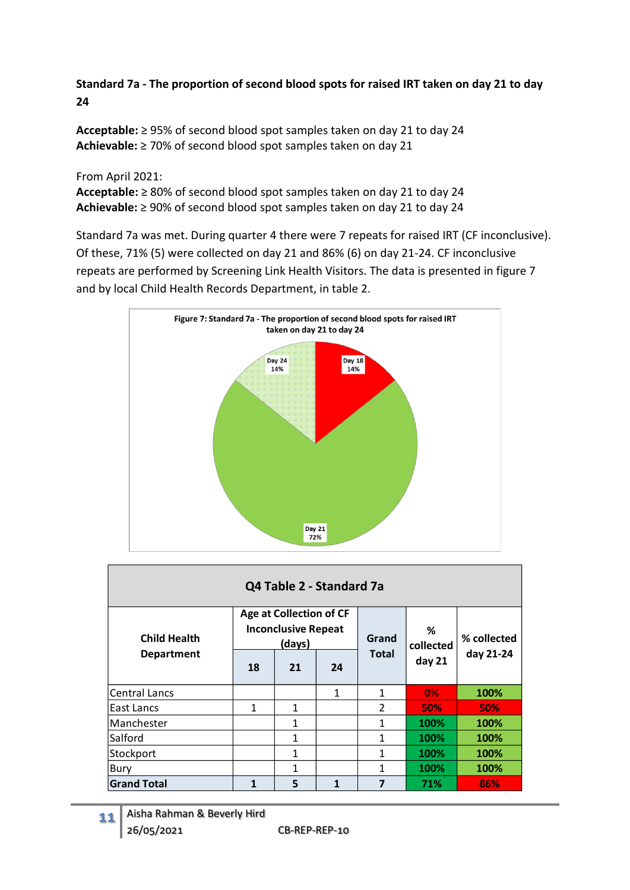# **Standard 7a - The proportion of second blood spots for raised IRT taken on day 21 to day 24**

**Acceptable:** ≥ 95% of second blood spot samples taken on day 21 to day 24 **Achievable:** ≥ 70% of second blood spot samples taken on day 21

#### From April 2021:

**Acceptable:** ≥ 80% of second blood spot samples taken on day 21 to day 24 **Achievable:** ≥ 90% of second blood spot samples taken on day 21 to day 24

Standard 7a was met. During quarter 4 there were 7 repeats for raised IRT (CF inconclusive). Of these, 71% (5) were collected on day 21 and 86% (6) on day 21-24. CF inconclusive repeats are performed by Screening Link Health Visitors. The data is presented in figure 7 and by local Child Health Records Department, in table 2.



| Q4 Table 2 - Standard 7a |    |                                                                        |              |                |                |             |  |  |  |  |
|--------------------------|----|------------------------------------------------------------------------|--------------|----------------|----------------|-------------|--|--|--|--|
| <b>Child Health</b>      |    | <b>Age at Collection of CF</b><br><b>Inconclusive Repeat</b><br>(days) |              | Grand          | %<br>collected | % collected |  |  |  |  |
| <b>Department</b>        | 18 | 21                                                                     | 24           | <b>Total</b>   | day 21         | day 21-24   |  |  |  |  |
| <b>Central Lancs</b>     |    |                                                                        | $\mathbf{1}$ | 1              | 0%             | 100%        |  |  |  |  |
| East Lancs               | 1  | 1                                                                      |              | $\overline{2}$ | <b>50%</b>     | <b>50%</b>  |  |  |  |  |
| Manchester               |    | $\mathbf{1}$                                                           |              | 1              | 100%           | 100%        |  |  |  |  |
| Salford                  |    | $\mathbf{1}$                                                           |              | 1              | 100%           | 100%        |  |  |  |  |
| Stockport                |    | $\mathbf{1}$                                                           |              | 1              | 100%           | 100%        |  |  |  |  |
| Bury                     |    | $\mathbf{1}$                                                           |              | 1              | 100%           | 100%        |  |  |  |  |
| <b>Grand Total</b>       | 1  | 5                                                                      |              | 7              | 71%            | 86%         |  |  |  |  |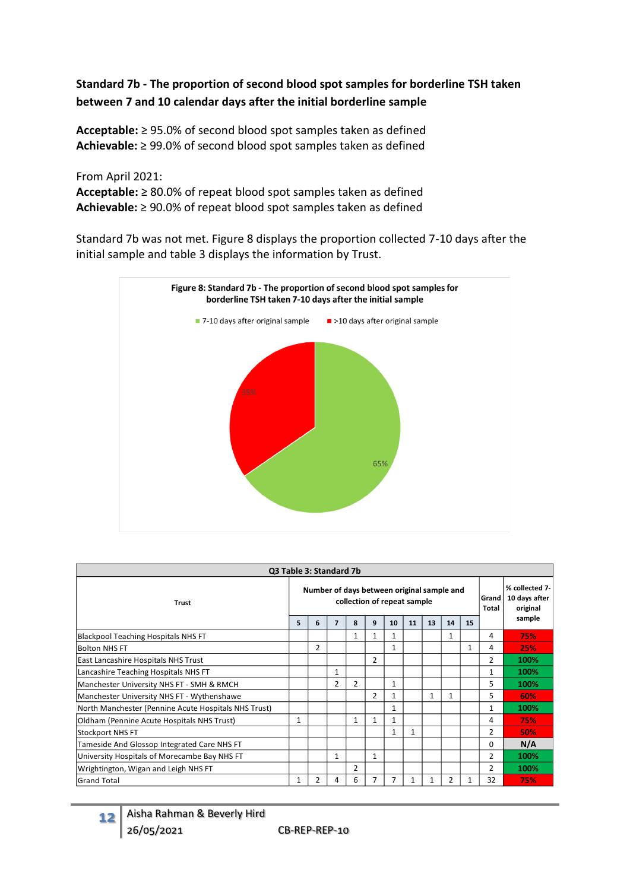# **Standard 7b - The proportion of second blood spot samples for borderline TSH taken between 7 and 10 calendar days after the initial borderline sample**

**Acceptable:** ≥ 95.0% of second blood spot samples taken as defined **Achievable:** ≥ 99.0% of second blood spot samples taken as defined

From April 2021:

**Acceptable:** ≥ 80.0% of repeat blood spot samples taken as defined **Achievable:** ≥ 90.0% of repeat blood spot samples taken as defined

Standard 7b was not met. Figure 8 displays the proportion collected 7-10 days after the initial sample and table 3 displays the information by Trust.



| Q3 Table 3: Standard 7b                              |                                                                           |   |              |                |                |              |    |    |                |    |                |                                             |
|------------------------------------------------------|---------------------------------------------------------------------------|---|--------------|----------------|----------------|--------------|----|----|----------------|----|----------------|---------------------------------------------|
| <b>Trust</b>                                         | Number of days between original sample and<br>collection of repeat sample |   |              |                |                |              |    |    |                |    | Grand<br>Total | % collected 7-<br>10 days after<br>original |
|                                                      | 5                                                                         | 6 | 7            | 8              | q              | 10           | 11 | 13 | 14             | 15 |                | sample                                      |
| Blackpool Teaching Hospitals NHS FT                  |                                                                           |   |              | $\mathbf{1}$   |                |              |    |    | $\mathbf{1}$   |    | 4              | 75%                                         |
| <b>Bolton NHS FT</b>                                 |                                                                           | 2 |              |                |                | $\mathbf{1}$ |    |    |                | 1  | 4              | 25%                                         |
| East Lancashire Hospitals NHS Trust                  |                                                                           |   |              |                | $\overline{2}$ |              |    |    |                |    | 2              | 100%                                        |
| Lancashire Teaching Hospitals NHS FT                 |                                                                           |   | $\mathbf{1}$ |                |                |              |    |    |                |    |                | 100%                                        |
| Manchester University NHS FT - SMH & RMCH            |                                                                           |   | 2            | $\overline{2}$ |                | 1            |    |    |                |    | 5              | 100%                                        |
| Manchester University NHS FT - Wythenshawe           |                                                                           |   |              |                | 2              | 1            |    | 1  | 1              |    | 5              | 60%                                         |
| North Manchester (Pennine Acute Hospitals NHS Trust) |                                                                           |   |              |                |                | 1            |    |    |                |    |                | 100%                                        |
| Oldham (Pennine Acute Hospitals NHS Trust)           | 1                                                                         |   |              | $\mathbf{1}$   |                | 1            |    |    |                |    | 4              | 75%                                         |
| <b>Stockport NHS FT</b>                              |                                                                           |   |              |                |                | 1            | 1  |    |                |    | 2              | 50%                                         |
| Tameside And Glossop Integrated Care NHS FT          |                                                                           |   |              |                |                |              |    |    |                |    | 0              | N/A                                         |
| University Hospitals of Morecambe Bay NHS FT         |                                                                           |   | 1            |                | $\mathbf{1}$   |              |    |    |                |    | $\overline{2}$ | 100%                                        |
| Wrightington, Wigan and Leigh NHS FT                 |                                                                           |   |              | 2              |                |              |    |    |                |    | $\mathcal{P}$  | 100%                                        |
| <b>Grand Total</b>                                   | 1                                                                         | 2 | 4            | 6              |                | 7            |    | 1  | $\overline{2}$ | 1  | 32             | 75%                                         |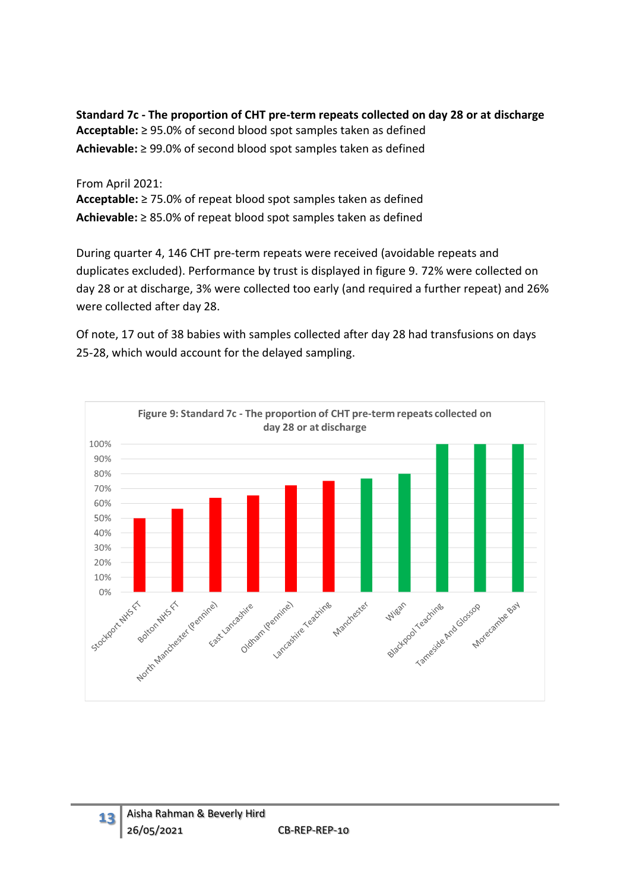**Standard 7c - The proportion of CHT pre-term repeats collected on day 28 or at discharge Acceptable:** ≥ 95.0% of second blood spot samples taken as defined **Achievable:** ≥ 99.0% of second blood spot samples taken as defined

#### From April 2021:

**Acceptable:** ≥ 75.0% of repeat blood spot samples taken as defined **Achievable:** ≥ 85.0% of repeat blood spot samples taken as defined

During quarter 4, 146 CHT pre-term repeats were received (avoidable repeats and duplicates excluded). Performance by trust is displayed in figure 9. 72% were collected on day 28 or at discharge, 3% were collected too early (and required a further repeat) and 26% were collected after day 28.

Of note, 17 out of 38 babies with samples collected after day 28 had transfusions on days 25-28, which would account for the delayed sampling.

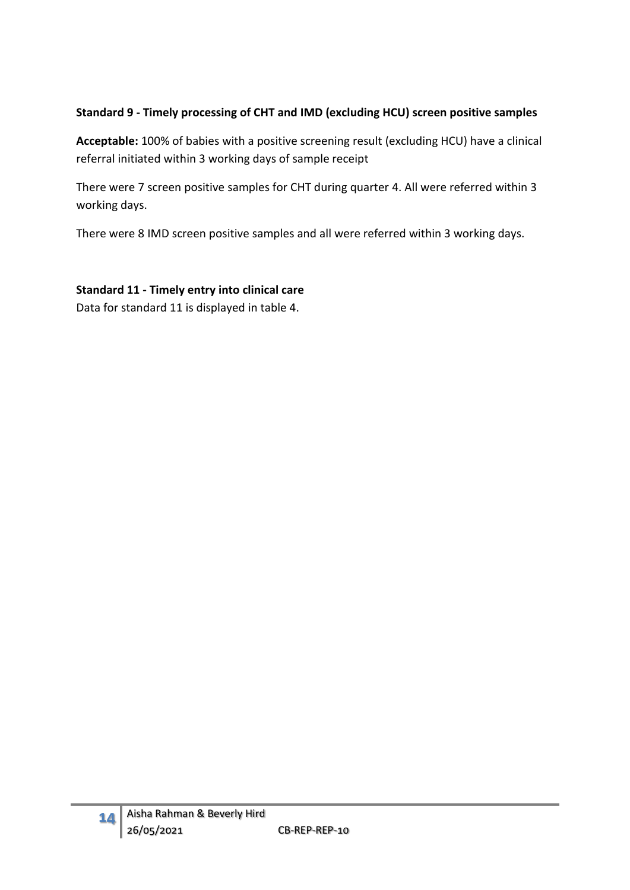# **Standard 9 - Timely processing of CHT and IMD (excluding HCU) screen positive samples**

**Acceptable:** 100% of babies with a positive screening result (excluding HCU) have a clinical referral initiated within 3 working days of sample receipt

There were 7 screen positive samples for CHT during quarter 4. All were referred within 3 working days.

There were 8 IMD screen positive samples and all were referred within 3 working days.

### **Standard 11 - Timely entry into clinical care**

Data for standard 11 is displayed in table 4.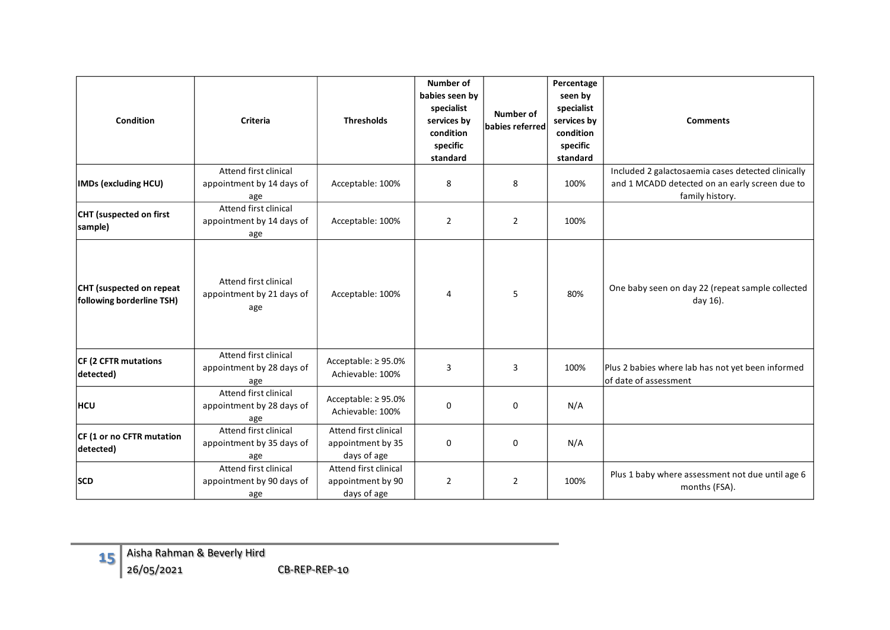| <b>Condition</b>                                      | <b>Criteria</b>                                           | <b>Thresholds</b>                                         | <b>Number of</b><br>babies seen by<br>specialist<br>services by<br>condition<br>specific<br>standard | <b>Number of</b><br>babies referred | Percentage<br>seen by<br>specialist<br>services by<br>condition<br>specific<br>standard | <b>Comments</b>                                                                                                         |
|-------------------------------------------------------|-----------------------------------------------------------|-----------------------------------------------------------|------------------------------------------------------------------------------------------------------|-------------------------------------|-----------------------------------------------------------------------------------------|-------------------------------------------------------------------------------------------------------------------------|
| <b>IMDs (excluding HCU)</b>                           | Attend first clinical<br>appointment by 14 days of<br>age | Acceptable: 100%                                          | 8                                                                                                    | 8                                   | 100%                                                                                    | Included 2 galactosaemia cases detected clinically<br>and 1 MCADD detected on an early screen due to<br>family history. |
| CHT (suspected on first<br>sample)                    | Attend first clinical<br>appointment by 14 days of<br>age | Acceptable: 100%                                          | $\overline{2}$                                                                                       | $\overline{2}$                      | 100%                                                                                    |                                                                                                                         |
| CHT (suspected on repeat<br>following borderline TSH) | Attend first clinical<br>appointment by 21 days of<br>age | Acceptable: 100%                                          | 4                                                                                                    | 5                                   | 80%                                                                                     | One baby seen on day 22 (repeat sample collected<br>day 16).                                                            |
| CF (2 CFTR mutations<br>detected)                     | Attend first clinical<br>appointment by 28 days of<br>age | Acceptable: $\geq$ 95.0%<br>Achievable: 100%              | 3                                                                                                    | 3                                   | 100%                                                                                    | Plus 2 babies where lab has not yet been informed<br>of date of assessment                                              |
| <b>HCU</b>                                            | Attend first clinical<br>appointment by 28 days of<br>age | Acceptable: ≥95.0%<br>Achievable: 100%                    | 0                                                                                                    | $\mathbf 0$                         | N/A                                                                                     |                                                                                                                         |
| CF (1 or no CFTR mutation<br>detected)                | Attend first clinical<br>appointment by 35 days of<br>age | Attend first clinical<br>appointment by 35<br>days of age | 0                                                                                                    | $\mathbf 0$                         | N/A                                                                                     |                                                                                                                         |
| <b>SCD</b>                                            | Attend first clinical<br>appointment by 90 days of<br>age | Attend first clinical<br>appointment by 90<br>days of age | $\overline{2}$                                                                                       | 2                                   | 100%                                                                                    | Plus 1 baby where assessment not due until age 6<br>months (FSA).                                                       |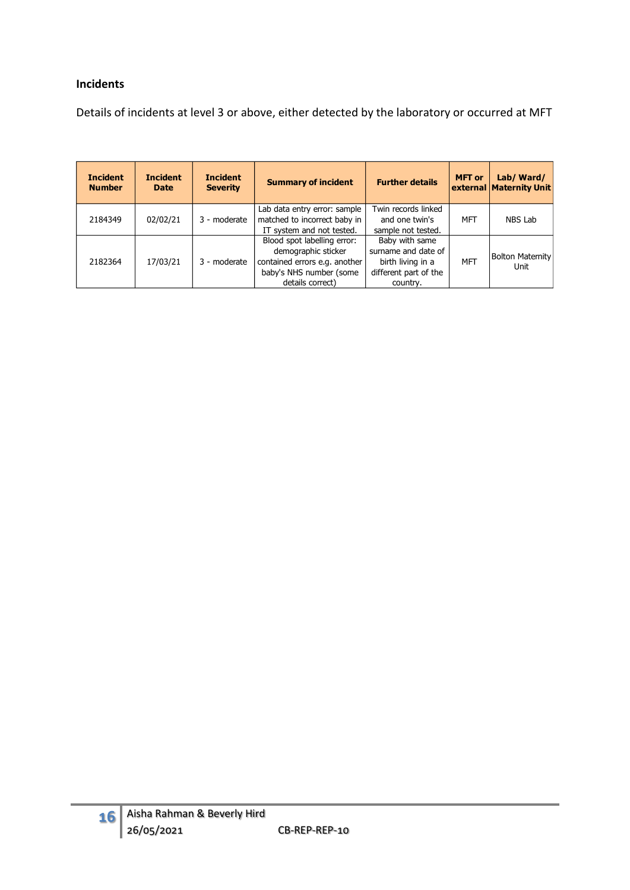#### **Incidents**

Details of incidents at level 3 or above, either detected by the laboratory or occurred at MFT

| <b>Incident</b><br><b>Number</b> | <b>Incident</b><br><b>Date</b> | <b>Incident</b><br><b>Severity</b> | <b>Summary of incident</b>                                                                                                         | <b>Further details</b>                                                                          | <b>MFT</b> or | Lab/Ward/<br>external Maternity Unit |
|----------------------------------|--------------------------------|------------------------------------|------------------------------------------------------------------------------------------------------------------------------------|-------------------------------------------------------------------------------------------------|---------------|--------------------------------------|
| 2184349                          | 02/02/21                       | 3 - moderate                       | Lab data entry error: sample<br>matched to incorrect baby in                                                                       | Twin records linked<br>and one twin's                                                           | <b>MFT</b>    | NBS Lab                              |
|                                  |                                |                                    | IT system and not tested.                                                                                                          | sample not tested.                                                                              |               |                                      |
| 2182364                          | 17/03/21                       | 3 - moderate                       | Blood spot labelling error:<br>demographic sticker<br>contained errors e.g. another<br>baby's NHS number (some<br>details correct) | Baby with same<br>surname and date of<br>birth living in a<br>different part of the<br>country. | MFT           | <b>Bolton Maternity</b><br>Unit      |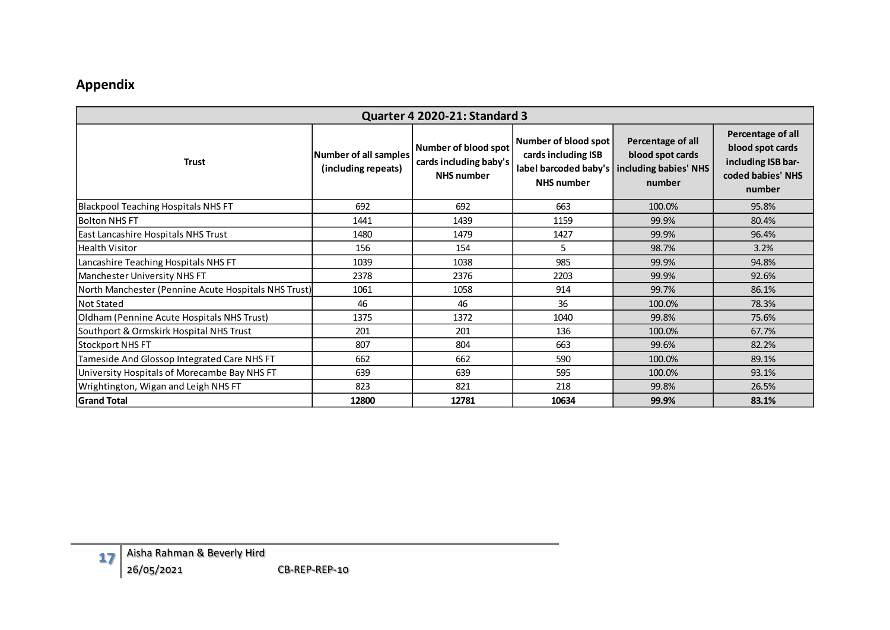# **Appendix**

| Quarter 4 2020-21: Standard 3                        |                                              |                                                                     |                                                                  |                                                                                                |                                                                                            |  |  |  |  |  |  |  |  |
|------------------------------------------------------|----------------------------------------------|---------------------------------------------------------------------|------------------------------------------------------------------|------------------------------------------------------------------------------------------------|--------------------------------------------------------------------------------------------|--|--|--|--|--|--|--|--|
| <b>Trust</b>                                         | Number of all samples<br>(including repeats) | Number of blood spot<br>cards including baby's<br><b>NHS number</b> | Number of blood spot<br>cards including ISB<br><b>NHS</b> number | Percentage of all<br>blood spot cards<br>label barcoded baby's including babies' NHS<br>number | Percentage of all<br>blood spot cards<br>including ISB bar-<br>coded babies' NHS<br>number |  |  |  |  |  |  |  |  |
| <b>Blackpool Teaching Hospitals NHS FT</b>           | 692                                          | 692                                                                 | 663                                                              | 100.0%                                                                                         | 95.8%                                                                                      |  |  |  |  |  |  |  |  |
| <b>Bolton NHS FT</b>                                 | 1441                                         | 1439                                                                | 1159                                                             | 99.9%                                                                                          | 80.4%                                                                                      |  |  |  |  |  |  |  |  |
| East Lancashire Hospitals NHS Trust                  | 1480                                         | 1479                                                                | 1427                                                             | 99.9%                                                                                          | 96.4%                                                                                      |  |  |  |  |  |  |  |  |
| <b>Health Visitor</b>                                | 156                                          | 154                                                                 | 5                                                                | 98.7%                                                                                          | 3.2%                                                                                       |  |  |  |  |  |  |  |  |
| Lancashire Teaching Hospitals NHS FT                 | 1039                                         | 1038                                                                | 985                                                              | 99.9%                                                                                          | 94.8%                                                                                      |  |  |  |  |  |  |  |  |
| Manchester University NHS FT                         | 2378                                         | 2376                                                                | 2203                                                             | 99.9%                                                                                          | 92.6%                                                                                      |  |  |  |  |  |  |  |  |
| North Manchester (Pennine Acute Hospitals NHS Trust) | 1061                                         | 1058                                                                | 914                                                              | 99.7%                                                                                          | 86.1%                                                                                      |  |  |  |  |  |  |  |  |
| <b>Not Stated</b>                                    | 46                                           | 46                                                                  | 36                                                               | 100.0%                                                                                         | 78.3%                                                                                      |  |  |  |  |  |  |  |  |
| Oldham (Pennine Acute Hospitals NHS Trust)           | 1375                                         | 1372                                                                | 1040                                                             | 99.8%                                                                                          | 75.6%                                                                                      |  |  |  |  |  |  |  |  |
| Southport & Ormskirk Hospital NHS Trust              | 201                                          | 201                                                                 | 136                                                              | 100.0%                                                                                         | 67.7%                                                                                      |  |  |  |  |  |  |  |  |
| Stockport NHS FT                                     | 807                                          | 804                                                                 | 663                                                              | 99.6%                                                                                          | 82.2%                                                                                      |  |  |  |  |  |  |  |  |
| Tameside And Glossop Integrated Care NHS FT          | 662                                          | 662                                                                 | 590                                                              | 100.0%                                                                                         | 89.1%                                                                                      |  |  |  |  |  |  |  |  |
| University Hospitals of Morecambe Bay NHS FT         | 639                                          | 639                                                                 | 595                                                              | 100.0%                                                                                         | 93.1%                                                                                      |  |  |  |  |  |  |  |  |
| Wrightington, Wigan and Leigh NHS FT                 | 823                                          | 821                                                                 | 218                                                              | 99.8%                                                                                          | 26.5%                                                                                      |  |  |  |  |  |  |  |  |
| <b>Grand Total</b>                                   | 12800                                        | 12781                                                               | 10634                                                            | 99.9%                                                                                          | 83.1%                                                                                      |  |  |  |  |  |  |  |  |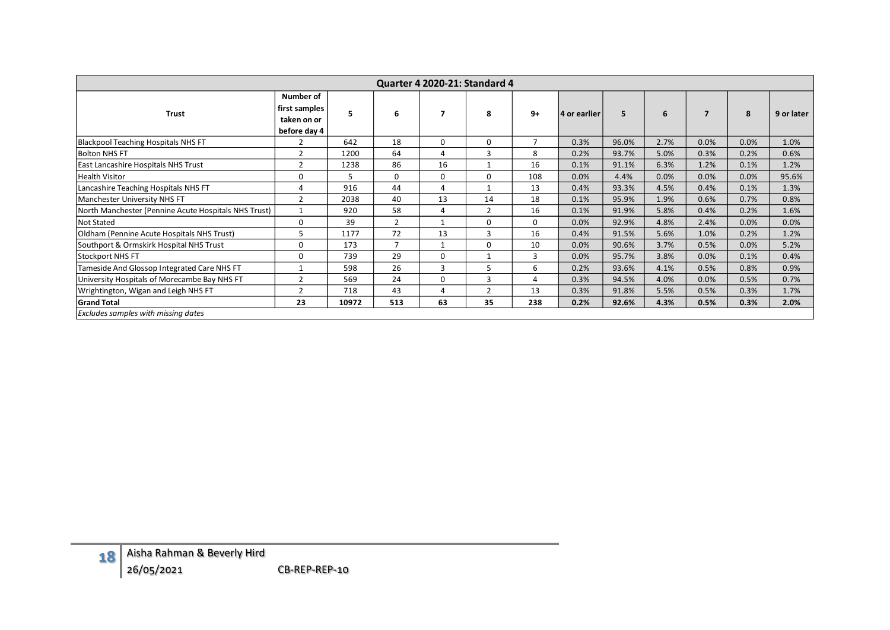| Quarter 4 2020-21: Standard 4                        |                                                           |       |                |                |                |                |              |       |      |      |      |            |
|------------------------------------------------------|-----------------------------------------------------------|-------|----------------|----------------|----------------|----------------|--------------|-------|------|------|------|------------|
| <b>Trust</b>                                         | Number of<br>first samples<br>taken on or<br>before day 4 | 5     | 6              |                | 8              | $9+$           | 4 or earlier | 5     | 6    |      | 8    | 9 or later |
| <b>Blackpool Teaching Hospitals NHS FT</b>           |                                                           | 642   | 18             | 0              | 0              | $\overline{7}$ | 0.3%         | 96.0% | 2.7% | 0.0% | 0.0% | 1.0%       |
| <b>Bolton NHS FT</b>                                 | $\overline{2}$                                            | 1200  | 64             | $\overline{4}$ | 3              | 8              | 0.2%         | 93.7% | 5.0% | 0.3% | 0.2% | 0.6%       |
| East Lancashire Hospitals NHS Trust                  | 2                                                         | 1238  | 86             | 16             |                | 16             | 0.1%         | 91.1% | 6.3% | 1.2% | 0.1% | 1.2%       |
| <b>Health Visitor</b>                                | 0                                                         | 5.    | 0              | 0              | 0              | 108            | 0.0%         | 4.4%  | 0.0% | 0.0% | 0.0% | 95.6%      |
| Lancashire Teaching Hospitals NHS FT                 | 4                                                         | 916   | 44             | 4              |                | 13             | 0.4%         | 93.3% | 4.5% | 0.4% | 0.1% | 1.3%       |
| Manchester University NHS FT                         | $\overline{2}$                                            | 2038  | 40             | 13             | 14             | 18             | 0.1%         | 95.9% | 1.9% | 0.6% | 0.7% | 0.8%       |
| North Manchester (Pennine Acute Hospitals NHS Trust) | $\mathbf{1}$                                              | 920   | 58             | 4              | $\overline{2}$ | 16             | 0.1%         | 91.9% | 5.8% | 0.4% | 0.2% | 1.6%       |
| Not Stated                                           | $\Omega$                                                  | 39    | $\overline{2}$ | $\mathbf{1}$   | 0              | 0              | 0.0%         | 92.9% | 4.8% | 2.4% | 0.0% | 0.0%       |
| Oldham (Pennine Acute Hospitals NHS Trust)           | 5                                                         | 1177  | 72             | 13             | 3              | 16             | 0.4%         | 91.5% | 5.6% | 1.0% | 0.2% | 1.2%       |
| Southport & Ormskirk Hospital NHS Trust              | 0                                                         | 173   | $\overline{7}$ | $\mathbf{1}$   | 0              | 10             | 0.0%         | 90.6% | 3.7% | 0.5% | 0.0% | 5.2%       |
| <b>Stockport NHS FT</b>                              | 0                                                         | 739   | 29             | $\mathbf 0$    |                | 3              | 0.0%         | 95.7% | 3.8% | 0.0% | 0.1% | 0.4%       |
| Tameside And Glossop Integrated Care NHS FT          | 1                                                         | 598   | 26             | 3              |                | 6              | 0.2%         | 93.6% | 4.1% | 0.5% | 0.8% | 0.9%       |
| University Hospitals of Morecambe Bay NHS FT         | $\overline{2}$                                            | 569   | 24             | $\mathbf 0$    | 3              | 4              | 0.3%         | 94.5% | 4.0% | 0.0% | 0.5% | 0.7%       |
| Wrightington, Wigan and Leigh NHS FT                 | $\overline{2}$                                            | 718   | 43             | 4              | 2              | 13             | 0.3%         | 91.8% | 5.5% | 0.5% | 0.3% | 1.7%       |
| <b>Grand Total</b>                                   | 23                                                        | 10972 | 513            | 63             | 35             | 238            | 0.2%         | 92.6% | 4.3% | 0.5% | 0.3% | 2.0%       |
| Excludes samples with missing dates                  |                                                           |       |                |                |                |                |              |       |      |      |      |            |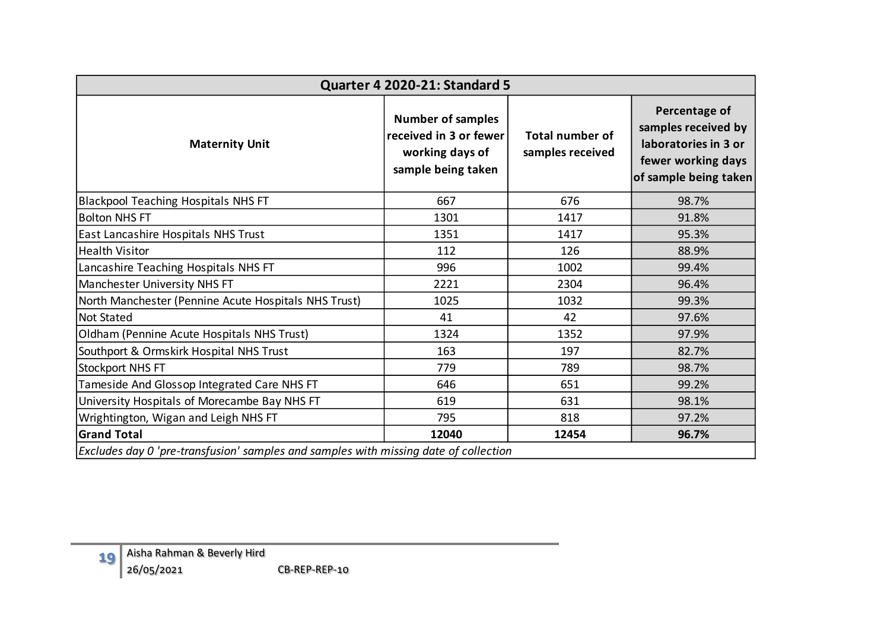| <b>Quarter 4 2020-21: Standard 5</b> |                                                                                      |                                                                                             |                                            |                                                                                                             |  |  |  |  |  |  |  |  |  |
|--------------------------------------|--------------------------------------------------------------------------------------|---------------------------------------------------------------------------------------------|--------------------------------------------|-------------------------------------------------------------------------------------------------------------|--|--|--|--|--|--|--|--|--|
|                                      | <b>Maternity Unit</b>                                                                | <b>Number of samples</b><br>received in 3 or fewer<br>working days of<br>sample being taken | <b>Total number of</b><br>samples received | Percentage of<br>samples received by<br>laboratories in 3 or<br>fewer working days<br>of sample being taken |  |  |  |  |  |  |  |  |  |
|                                      | <b>Blackpool Teaching Hospitals NHS FT</b>                                           | 667                                                                                         | 676                                        | 98.7%                                                                                                       |  |  |  |  |  |  |  |  |  |
| <b>Bolton NHS FT</b>                 |                                                                                      | 1301                                                                                        | 1417                                       | 91.8%                                                                                                       |  |  |  |  |  |  |  |  |  |
|                                      | East Lancashire Hospitals NHS Trust                                                  | 1351                                                                                        | 1417                                       | 95.3%                                                                                                       |  |  |  |  |  |  |  |  |  |
| <b>Health Visitor</b>                |                                                                                      | 112                                                                                         | 126                                        | 88.9%                                                                                                       |  |  |  |  |  |  |  |  |  |
|                                      | Lancashire Teaching Hospitals NHS FT                                                 | 996                                                                                         | 1002                                       | 99.4%                                                                                                       |  |  |  |  |  |  |  |  |  |
|                                      | Manchester University NHS FT                                                         | 2221                                                                                        | 2304                                       |                                                                                                             |  |  |  |  |  |  |  |  |  |
|                                      | North Manchester (Pennine Acute Hospitals NHS Trust)                                 | 1025                                                                                        | 1032                                       | 99.3%                                                                                                       |  |  |  |  |  |  |  |  |  |
| <b>Not Stated</b>                    |                                                                                      | 41                                                                                          | 42                                         | 97.6%                                                                                                       |  |  |  |  |  |  |  |  |  |
|                                      | Oldham (Pennine Acute Hospitals NHS Trust)                                           | 1324                                                                                        | 1352                                       | 97.9%                                                                                                       |  |  |  |  |  |  |  |  |  |
|                                      | Southport & Ormskirk Hospital NHS Trust                                              | 163                                                                                         | 82.7%                                      |                                                                                                             |  |  |  |  |  |  |  |  |  |
| <b>Stockport NHS FT</b>              |                                                                                      | 779                                                                                         | 789                                        | 98.7%                                                                                                       |  |  |  |  |  |  |  |  |  |
|                                      | Tameside And Glossop Integrated Care NHS FT                                          | 646                                                                                         | 651                                        | 99.2%                                                                                                       |  |  |  |  |  |  |  |  |  |
|                                      | University Hospitals of Morecambe Bay NHS FT                                         | 619                                                                                         | 631                                        | 98.1%                                                                                                       |  |  |  |  |  |  |  |  |  |
|                                      | Wrightington, Wigan and Leigh NHS FT                                                 | 795                                                                                         | 818                                        | 97.2%                                                                                                       |  |  |  |  |  |  |  |  |  |
| <b>Grand Total</b>                   |                                                                                      | 12040                                                                                       | 12454                                      | 96.7%                                                                                                       |  |  |  |  |  |  |  |  |  |
|                                      | Excludes day 0 'pre-transfusion' samples and samples with missing date of collection |                                                                                             |                                            |                                                                                                             |  |  |  |  |  |  |  |  |  |
|                                      | Aisha Rahman & Beverly Hird                                                          |                                                                                             |                                            |                                                                                                             |  |  |  |  |  |  |  |  |  |
| 19                                   | 26/05/2021<br>CB-REP-REP-10                                                          |                                                                                             |                                            |                                                                                                             |  |  |  |  |  |  |  |  |  |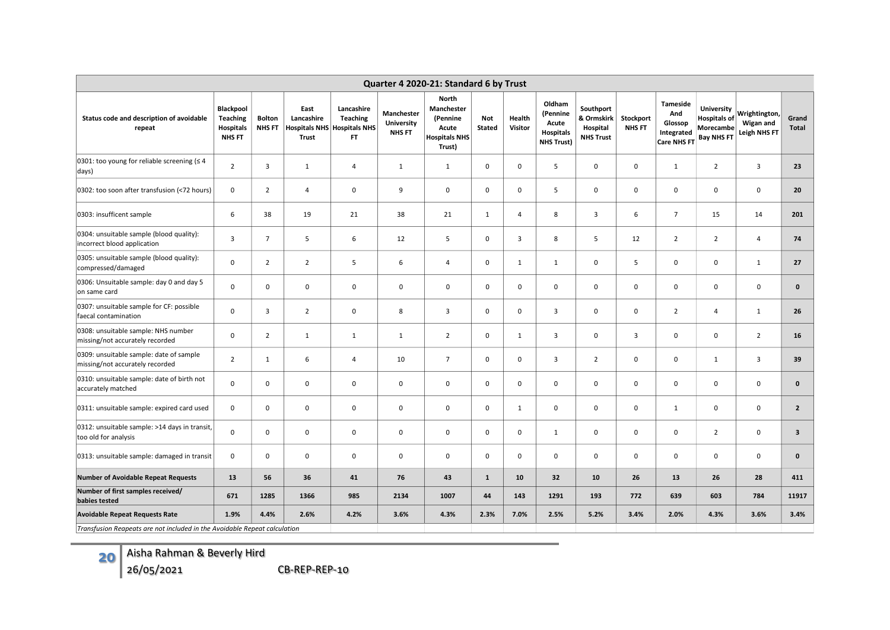| Quarter 4 2020-21: Standard 6 by Trust                                     |                                                                   |                                |                                                                          |                                            |                                                  |                                                                                   |                      |                   |                                                                      |                                                         |                            |                                                                       |                                                                            |                                                  |                                                                           |  |  |  |  |  |  |  |  |  |  |  |
|----------------------------------------------------------------------------|-------------------------------------------------------------------|--------------------------------|--------------------------------------------------------------------------|--------------------------------------------|--------------------------------------------------|-----------------------------------------------------------------------------------|----------------------|-------------------|----------------------------------------------------------------------|---------------------------------------------------------|----------------------------|-----------------------------------------------------------------------|----------------------------------------------------------------------------|--------------------------------------------------|---------------------------------------------------------------------------|--|--|--|--|--|--|--|--|--|--|--|
| Status code and description of avoidable<br>repeat                         | Blackpool<br><b>Teaching</b><br><b>Hospitals</b><br><b>NHS FT</b> | <b>Bolton</b><br><b>NHS FT</b> | East<br>Lancashire<br><b>Hospitals NHS Hospitals NHS</b><br><b>Trust</b> | Lancashire<br><b>Teaching</b><br><b>FT</b> | <b>Manchester</b><br>University<br><b>NHS FT</b> | <b>North</b><br>Manchester<br>(Pennine<br>Acute<br><b>Hospitals NHS</b><br>Trust) | <b>Not</b><br>Stated | Health<br>Visitor | Oldham<br>(Pennine<br>Acute<br><b>Hospitals</b><br><b>NHS Trust)</b> | Southport<br>& Ormskirk<br>Hospital<br><b>NHS Trust</b> | Stockport<br><b>NHS FT</b> | <b>Tameside</b><br>And<br>Glossop<br>Integrated<br><b>Care NHS FT</b> | <b>University</b><br><b>Hospitals of</b><br>Morecambe<br><b>Bay NHS FT</b> | <b>Wrightington</b><br>Wigan and<br>Leigh NHS FT | Grand<br><b>Total</b>                                                     |  |  |  |  |  |  |  |  |  |  |  |
| 0301: too young for reliable screening ( $\leq 4$<br>days)                 | $\overline{2}$                                                    | 3                              | $\mathbf{1}$                                                             | $\overline{4}$                             | $\mathbf{1}$                                     | $\mathbf{1}$                                                                      | $\mathbf 0$          | $\mathbf 0$       | 5                                                                    | $\mathbf 0$                                             | $\mathbf 0$                | $\mathbf{1}$                                                          | $\overline{2}$                                                             | 3                                                | 23                                                                        |  |  |  |  |  |  |  |  |  |  |  |
| 0302: too soon after transfusion (<72 hours)                               | $\mathbf 0$                                                       | $\overline{2}$                 | $\overline{4}$                                                           | $\mathbf 0$                                | 9                                                | 0                                                                                 | $\mathbf 0$          | $\mathbf 0$       | 5                                                                    | $\mathbf 0$                                             | $\mathbf 0$                | $\mathbf 0$                                                           | $\mathbf 0$                                                                | $\mathbf 0$                                      | 20                                                                        |  |  |  |  |  |  |  |  |  |  |  |
| 0303: insufficent sample                                                   | 6                                                                 | 38                             | 19                                                                       | 21                                         | 38                                               | 21                                                                                | $\mathbf{1}$         | $\overline{4}$    | 8                                                                    | $\overline{\mathbf{3}}$                                 | 6                          | $\overline{7}$                                                        | 15                                                                         | 14                                               | 201                                                                       |  |  |  |  |  |  |  |  |  |  |  |
| 0304: unsuitable sample (blood quality):<br>incorrect blood application    | $\overline{3}$                                                    | $\overline{7}$                 | 5                                                                        | 6                                          | 12                                               | 5                                                                                 | 0                    | 3                 | 8                                                                    | 5                                                       | 12                         | $\overline{2}$                                                        | $\overline{2}$                                                             | $\overline{4}$                                   | 74                                                                        |  |  |  |  |  |  |  |  |  |  |  |
| 0305: unsuitable sample (blood quality):<br>compressed/damaged             | $\mathbf 0$                                                       | $\overline{2}$                 | $\overline{2}$                                                           | 5                                          | 6                                                | $\overline{4}$                                                                    | 0                    | $\mathbf{1}$      | $\mathbf{1}$                                                         | $\mathsf 0$                                             | 5                          | $\pmb{0}$                                                             | $\mathbf 0$                                                                | $\mathbf{1}$                                     | 27                                                                        |  |  |  |  |  |  |  |  |  |  |  |
| 0306: Unsuitable sample: day 0 and day 5<br>on same card                   | $\mathbf 0$                                                       | $\mathbf 0$                    | $\mathbf 0$                                                              | $\mathbf 0$                                | $\mathbf 0$                                      | 0                                                                                 | $\mathbf{0}$         | $\mathbf 0$       | $\mathbf 0$                                                          | $\mathbf 0$                                             | $\mathbf 0$                | $\mathbf 0$                                                           | $\mathbf 0$                                                                | $\mathbf 0$                                      | $\mathbf{0}$                                                              |  |  |  |  |  |  |  |  |  |  |  |
| 0307: unsuitable sample for CF: possible<br>faecal contamination           | $\mathbf 0$                                                       | 3                              | $\overline{2}$                                                           | $\mathbf 0$                                | 8                                                | 3                                                                                 | $\mathbf 0$          | 0                 | $\overline{3}$                                                       | $\mathbf 0$                                             | $\mathbf 0$                | $\overline{2}$                                                        | $\overline{4}$                                                             | $\mathbf{1}$                                     | 26                                                                        |  |  |  |  |  |  |  |  |  |  |  |
| 0308: unsuitable sample: NHS number<br>missing/not accurately recorded     | $\mathbf 0$                                                       | $\overline{2}$                 | $\mathbf{1}$                                                             | 1                                          | 1                                                | $\overline{2}$                                                                    | $\mathbf 0$          | 1                 | $\overline{3}$                                                       | $\mathbf 0$                                             | $\overline{3}$             | $\mathbf 0$                                                           | $\mathbf 0$                                                                | $\overline{2}$                                   | 16                                                                        |  |  |  |  |  |  |  |  |  |  |  |
| 0309: unsuitable sample: date of sample<br>missing/not accurately recorded | $\overline{2}$                                                    | $\mathbf{1}$                   | 6                                                                        | $\overline{4}$                             | 10                                               | $\overline{7}$                                                                    | 0                    | $\mathsf 0$       | 3                                                                    | $\overline{2}$                                          | $\mathsf 0$                | $\pmb{0}$                                                             | $\mathbf{1}$                                                               | 3                                                | 39                                                                        |  |  |  |  |  |  |  |  |  |  |  |
| 0310: unsuitable sample: date of birth not<br>accurately matched           | $\mathbf 0$                                                       | 0                              | $\mathbf 0$                                                              | 0                                          | $\mathsf{O}$                                     | 0                                                                                 | 0                    | $\mathsf 0$       | 0                                                                    | $\mathbf 0$                                             | $\mathbf 0$                | $\pmb{0}$                                                             | $\mathbf 0$                                                                | 0                                                | $\mathbf{0}$                                                              |  |  |  |  |  |  |  |  |  |  |  |
| 0311: unsuitable sample: expired card used                                 | $\mathbf 0$                                                       | $\mathsf 0$                    | $\mathbf 0$                                                              | 0                                          | $\mathsf{O}$                                     | 0                                                                                 | $\mathsf{O}$         | $\mathbf{1}$      | $\mathbf 0$                                                          | $\mathbf 0$                                             | $\mathsf 0$                | $\mathbf{1}$                                                          | $\mathbf 0$                                                                | $\mathbf 0$                                      | $\overline{2}$                                                            |  |  |  |  |  |  |  |  |  |  |  |
| 0312: unsuitable sample: >14 days in transit,<br>too old for analysis      | $\mathbf 0$                                                       | 0                              | $\mathbf 0$                                                              | 0                                          | $\mathbf 0$                                      | 0                                                                                 | 0                    | 0                 | 1                                                                    | $\mathbf 0$                                             | $\mathbf 0$                | $\mathbf 0$                                                           | $\overline{2}$                                                             | $\mathbf 0$                                      | $\overline{\mathbf{3}}$                                                   |  |  |  |  |  |  |  |  |  |  |  |
| 0313: unsuitable sample: damaged in transit                                | $\mathbf 0$                                                       | 0                              | $\mathbf 0$                                                              | $\mathbf 0$                                | $\mathbf 0$                                      | 0                                                                                 | $\mathbf{0}$         | $\mathbf 0$       | $\mathbf 0$                                                          | $\mathbf 0$                                             | $\mathbf 0$                | $\mathbf 0$                                                           | $\mathbf 0$                                                                | $\mathbf 0$                                      | $\mathbf{0}$                                                              |  |  |  |  |  |  |  |  |  |  |  |
| <b>Number of Avoidable Repeat Requests</b>                                 | 13                                                                | 56                             | 36                                                                       | 41                                         | 76                                               | 43                                                                                | $\mathbf{1}$         | 10                | 32                                                                   | 10                                                      | 26                         | 13                                                                    | 26                                                                         | 28                                               | 411                                                                       |  |  |  |  |  |  |  |  |  |  |  |
| Number of first samples received/<br>babies tested                         | 671                                                               | 1285                           | 1366                                                                     | 985                                        | 2134                                             | 1007                                                                              | 44                   | 143               | 1291                                                                 | 193                                                     | 772                        | 639                                                                   | 603                                                                        | 784                                              | 11917                                                                     |  |  |  |  |  |  |  |  |  |  |  |
| <b>Avoidable Repeat Requests Rate</b>                                      | 1.9%                                                              | 4.4%                           | 2.6%                                                                     | 4.2%                                       | 3.6%                                             | 4.3%                                                                              | 2.3%                 | 7.0%              | 2.5%                                                                 | 5.2%                                                    | 3.4%                       | 2.0%                                                                  | 4.3%                                                                       | 3.6%                                             | 3.4%                                                                      |  |  |  |  |  |  |  |  |  |  |  |
|                                                                            |                                                                   |                                |                                                                          |                                            |                                                  |                                                                                   |                      |                   |                                                                      |                                                         |                            |                                                                       |                                                                            |                                                  | Transfusion Reapeats are not included in the Avoidable Repeat calculation |  |  |  |  |  |  |  |  |  |  |  |

**20** Aisha Rahman & Beverly Hird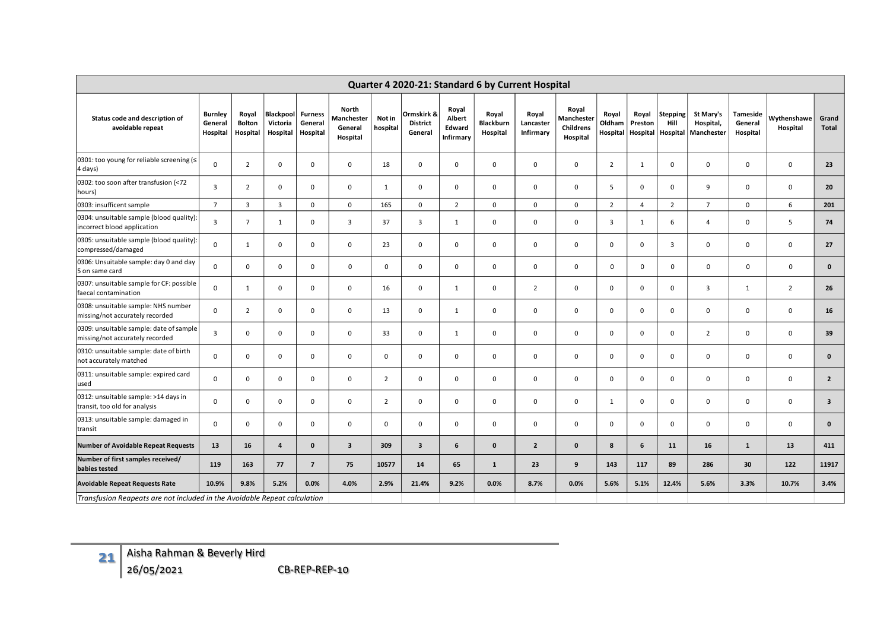| Quarter 4 2020-21: Standard 6 by Current Hospital                          |                                       |                                    |                                   |                                       |                                            |                    |                                          |                                               |                                       |                                 |                                              |                             |                              |                                     |                                      |                                 |                         |                         |
|----------------------------------------------------------------------------|---------------------------------------|------------------------------------|-----------------------------------|---------------------------------------|--------------------------------------------|--------------------|------------------------------------------|-----------------------------------------------|---------------------------------------|---------------------------------|----------------------------------------------|-----------------------------|------------------------------|-------------------------------------|--------------------------------------|---------------------------------|-------------------------|-------------------------|
| Status code and description of<br>avoidable repeat                         | <b>Burnley</b><br>General<br>Hospital | Royal<br><b>Bolton</b><br>Hospital | Blackpool<br>Victoria<br>Hospital | <b>Furness</b><br>General<br>Hospital | North<br>Manchester<br>General<br>Hospital | Not in<br>hospital | Ormskirk &<br><b>District</b><br>General | Royal<br>Albert<br>Edward<br><b>Infirmary</b> | Royal<br><b>Blackburn</b><br>Hospital | Royal<br>Lancaster<br>Infirmary | Royal<br>Manchester<br>Childrens<br>Hospital | Royal<br>Oldham<br>Hospital | Royal<br>Preston<br>Hospital | <b>Stepping</b><br>Hill<br>Hospital | St Mary's<br>Hospital,<br>Manchester | Tameside<br>General<br>Hospital | Wythenshawe<br>Hospital | Grand<br>Total          |
| 0301: too young for reliable screening (≤<br>4 days)                       | $\Omega$                              | 2                                  | $\mathbf 0$                       | 0                                     | $\mathbf 0$                                | 18                 | 0                                        | 0                                             | $\mathbf 0$                           | $\mathbf 0$                     | $\mathbf 0$                                  | $\overline{2}$              | 1                            | $\mathbf 0$                         | 0                                    | 0                               | 0                       | 23                      |
| 0302: too soon after transfusion (<72<br>hours)                            | 3                                     | $\overline{2}$                     | $\Omega$                          | 0                                     | $\mathbf 0$                                | $\mathbf{1}$       | $\mathbf 0$                              | 0                                             | $\mathbf 0$                           | $\mathbf 0$                     | $\mathbf 0$                                  | 5                           | $\mathbf 0$                  | $\mathbf{0}$                        | 9                                    | 0                               | $\mathbf 0$             | 20                      |
| 0303: insufficent sample                                                   | $\overline{7}$                        | 3                                  | $\overline{3}$                    | 0                                     | $\mathbf 0$                                | 165                | 0                                        | $\overline{2}$                                | $\mathbf 0$                           | $\mathsf 0$                     | $\mathbf 0$                                  | $\overline{2}$              | 4                            | $\overline{2}$                      | $\overline{7}$                       | 0                               | 6                       | 201                     |
| 0304: unsuitable sample (blood quality):<br>incorrect blood application    | 3                                     | $\overline{7}$                     | 1                                 | 0                                     | 3                                          | 37                 | $\overline{3}$                           | $\mathbf{1}$                                  | $\mathbf 0$                           | $\mathbf 0$                     | $\mathbf 0$                                  | 3                           | 1                            | 6                                   | $\overline{4}$                       | 0                               | 5                       | 74                      |
| 0305: unsuitable sample (blood quality):<br>compressed/damaged             | $\Omega$                              | 1                                  | $\mathbf 0$                       | 0                                     | $\mathbf 0$                                | 23                 | $\mathbf 0$                              | $\mathbf 0$                                   | $\mathbf 0$                           | $\mathbf 0$                     | $\mathbf 0$                                  | $\mathbf 0$                 | $\mathbf{0}$                 | $\overline{3}$                      | $\mathbf 0$                          | 0                               | $\mathbf 0$             | 27                      |
| 0306: Unsuitable sample: day 0 and day<br>5 on same card                   | $\mathbf 0$                           | 0                                  | $\mathbf 0$                       | 0                                     | $\mathbf 0$                                | $\mathsf{o}$       | 0                                        | 0                                             | $\mathbf 0$                           | $\mathbf 0$                     | $\mathbf 0$                                  | 0                           | 0                            | $\mathbf 0$                         | $\mathsf{O}$                         | 0                               | 0                       | $\mathbf 0$             |
| 0307: unsuitable sample for CF: possible<br>faecal contamination           | $\Omega$                              | 1                                  | $\mathbf 0$                       | $\mathbf 0$                           | $\mathbf 0$                                | 16                 | 0                                        | $\mathbf{1}$                                  | $\mathbf 0$                           | $\overline{2}$                  | $\mathbf 0$                                  | $\mathbf 0$                 | $\mathbf 0$                  | $\mathsf{O}$                        | 3                                    | 1                               | $\overline{2}$          | 26                      |
| 0308: unsuitable sample: NHS number<br>missing/not accurately recorded     | $\mathbf 0$                           | $\overline{2}$                     | $\mathbf 0$                       | 0                                     | $\mathbf 0$                                | 13                 | 0                                        | $\mathbf{1}$                                  | $\mathbf 0$                           | $\mathbf 0$                     | $\mathbf 0$                                  | 0                           | $\mathbf 0$                  | $\mathbf{0}$                        | $\mathbf 0$                          | 0                               | $\mathbf 0$             | 16                      |
| 0309: unsuitable sample: date of sample<br>missing/not accurately recorded | $\overline{3}$                        | $\Omega$                           | $\Omega$                          | $\mathbf 0$                           | $\mathbf 0$                                | 33                 | $\mathbf 0$                              | $\mathbf{1}$                                  | $\mathbf 0$                           | $\mathbf 0$                     | $\mathbf 0$                                  | $\mathbf 0$                 | $\Omega$                     | $\mathbf{0}$                        | $\overline{2}$                       | $\mathbf 0$                     | $\mathbf 0$             | 39                      |
| 0310: unsuitable sample: date of birth<br>not accurately matched           | $\Omega$                              | $\Omega$                           | $\mathbf 0$                       | $\mathbf 0$                           | $\mathbf 0$                                | $\mathbf 0$        | 0                                        | $\mathbf 0$                                   | $\mathbf 0$                           | $\mathbf 0$                     | $\mathbf 0$                                  | $\mathbf 0$                 | $\Omega$                     | $\mathbf{0}$                        | $\mathbf 0$                          | $\mathbf 0$                     | $\mathbf 0$             | $\mathbf{0}$            |
| 0311: unsuitable sample: expired card<br>used                              | $\mathbf 0$                           | 0                                  | $\mathbf 0$                       | $\mathbf 0$                           | $\mathbf 0$                                | $\overline{2}$     | 0                                        | $\mathbf 0$                                   | $\mathbf 0$                           | $\mathbf 0$                     | $\mathbf 0$                                  | $\mathbf 0$                 | $\mathbf 0$                  | $\mathbf{0}$                        | $\mathbf 0$                          | 0                               | $\mathbf 0$             | $\overline{2}$          |
| 0312: unsuitable sample: >14 days in<br>transit, too old for analysis      | $\mathbf 0$                           | 0                                  | $\mathbf 0$                       | $\mathbf 0$                           | $\mathsf 0$                                | $\overline{2}$     | 0                                        | 0                                             | $\mathbf 0$                           | $\mathsf 0$                     | $\mathbf 0$                                  | $\mathbf{1}$                | $\mathbf 0$                  | 0                                   | $\mathsf{O}$                         | 0                               | $\mathsf 0$             | $\overline{\mathbf{3}}$ |
| 0313: unsuitable sample: damaged in<br>transit                             | $\mathbf 0$                           | 0                                  | $\mathbf 0$                       | $\mathbf 0$                           | $\mathbf 0$                                | $\mathbf 0$        | $\mathbf 0$                              | 0                                             | $\mathbf 0$                           | $\mathsf 0$                     | $\mathbf 0$                                  | $\mathbf 0$                 | 0                            | $\mathbf 0$                         | $\mathbf 0$                          | 0                               | $\mathsf 0$             | $\mathbf 0$             |
| <b>Number of Avoidable Repeat Requests</b>                                 | 13                                    | 16                                 | 4                                 | $\mathbf{0}$                          | $\overline{\mathbf{3}}$                    | 309                | $\overline{\mathbf{3}}$                  | 6                                             | $\mathbf{0}$                          | $\overline{2}$                  | $\mathbf{0}$                                 | 8                           | 6                            | 11                                  | 16                                   | $\mathbf{1}$                    | 13                      | 411                     |
| Number of first samples received/<br>babies tested                         | 119                                   | 163                                | 77                                | $\overline{7}$                        | 75                                         | 10577              | 14                                       | 65                                            | $\mathbf{1}$                          | 23                              | 9                                            | 143                         | 117                          | 89                                  | 286                                  | 30                              | 122                     | 11917                   |
| <b>Avoidable Repeat Requests Rate</b>                                      | 10.9%                                 | 9.8%                               | 5.2%                              | 0.0%                                  | 4.0%                                       | 2.9%               | 21.4%                                    | 9.2%                                          | 0.0%                                  | 8.7%                            | 0.0%                                         | 5.6%                        | 5.1%                         | 12.4%                               | 5.6%                                 | 3.3%                            | 10.7%                   | 3.4%                    |
| Transfusion Reapeats are not included in the Avoidable Repeat calculation  |                                       |                                    |                                   |                                       |                                            |                    |                                          |                                               |                                       |                                 |                                              |                             |                              |                                     |                                      |                                 |                         |                         |